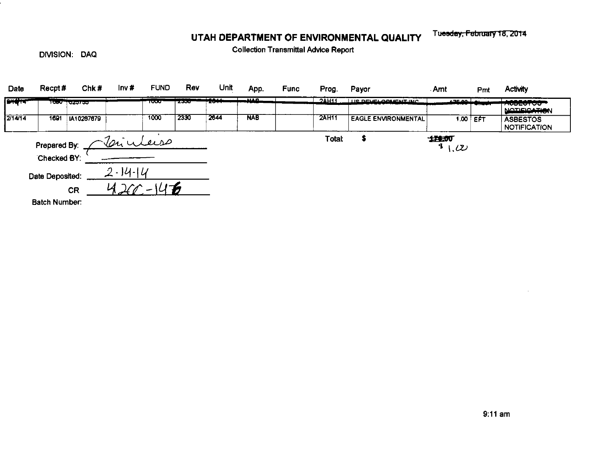## UTAH DEPARTMENT OF ENVIRONMENTAL QUALITY

Tuesday, February 18, 2014

DIVISION: DAQ

**Collection Transmittal Advice Report** 

| Date                         | Recpt#               | Chk#                | Inv#          | <b>FUND</b> | Rev  | Unit       | App.       | <b>Func</b> | Prog.           | Payor                      | Amt                                 | Pmt        | <b>Activity</b>                        |
|------------------------------|----------------------|---------------------|---------------|-------------|------|------------|------------|-------------|-----------------|----------------------------|-------------------------------------|------------|----------------------------------------|
| <u>ové</u> kez               |                      | ᡕᡂᠣ᠆ᠸ <i>ᡓᢋᠡᢌ</i> ᡇ |               | ᡡᠣ          | w    | ****<br>-- | - 1140     |             | $2$ <b>AH11</b> | <b>HE DEVELOPMENT INC.</b> | المم عصد                            |            | <u>.</u><br><b>RUDEVI VO</b>           |
|                              |                      |                     |               |             |      |            |            |             |                 |                            |                                     |            | <b>NOTIFICATION</b>                    |
| 2/14/14                      | 1691                 | IA10287679          |               | 1000        | 2330 | 2644       | <b>NAB</b> |             | <b>2AH11</b>    | <b>EAGLE ENVIRONMENTAL</b> |                                     | 1.00 $EFT$ | <b>ASBESTOS</b><br><b>NOTIFICATION</b> |
|                              | Prepared By:         |                     | Laiuleuse     |             |      |            |            |             | Total:          |                            | 进航<br>$\mathbf{I}$<br>$\mathcal{L}$ |            |                                        |
|                              | Checked BY:          |                     |               |             |      |            |            |             |                 |                            |                                     |            |                                        |
| Date Deposited:<br><b>CR</b> |                      |                     | $2 - 14 - 14$ |             |      |            |            |             |                 |                            |                                     |            |                                        |
|                              |                      |                     |               |             |      |            |            |             |                 |                            |                                     |            |                                        |
|                              | <b>Batch Number:</b> |                     |               |             |      |            |            |             |                 |                            |                                     |            |                                        |

 $\ddot{\phantom{a}}$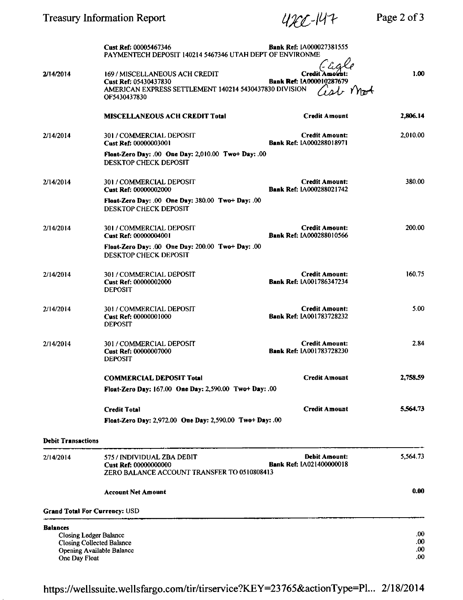|                                  | Cust Ref: 00005467346<br>PAYMENTECH DEPOSIT 140214 5467346 UTAH DEPT OF ENVIRONME                  | <b>Bank Ref: IA000027381555</b>                          |                            |
|----------------------------------|----------------------------------------------------------------------------------------------------|----------------------------------------------------------|----------------------------|
| 2/14/2014                        | 169 / MISCELLANEOUS ACH CREDIT<br>Cust Ref: 05430437830                                            | Credit Amount<br>Bank Ref: IA000010287679                | 1.00                       |
|                                  | AMERICAN EXPRESS SETTLEMENT 140214 5430437830 DIVISION<br>OF5430437830                             | ish mot                                                  |                            |
|                                  | <b>MISCELLANEOUS ACH CREDIT Total</b>                                                              | <b>Credit Amount</b>                                     | 2,806.14                   |
| 2/14/2014                        | 301 / COMMERCIAL DEPOSIT<br>Cust Ref: 00000003001                                                  | <b>Credit Amount:</b><br>Bank Ref: IA000288018971        | 2,010.00                   |
|                                  | Float-Zero Day: .00 One Day: 2,010.00 Two+ Day: .00<br><b>DESKTOP CHECK DEPOSIT</b>                |                                                          |                            |
| 2/14/2014                        | 301 / COMMERCIAL DEPOSIT<br>Cust Ref: 00000002000                                                  | <b>Credit Amount:</b><br>Bank Ref: 1A000288021742        | 380.00                     |
|                                  | Float-Zero Day: .00 One Day: 380.00 Two+ Day: .00<br>DESKTOP CHECK DEPOSIT                         |                                                          |                            |
| 2/14/2014                        | 301 / COMMERCIAL DEPOSIT<br>Cust Ref: 00000004001                                                  | <b>Credit Amount:</b><br>Bank Ref: IA000288010566        | 200.00                     |
|                                  | Float-Zero Day: .00 One Day: 200.00 Two+ Day: .00<br>DESKTOP CHECK DEPOSIT                         |                                                          |                            |
| 2/14/2014                        | 301 / COMMERCIAL DEPOSIT<br>Cust Ref: 00000002000<br><b>DEPOSIT</b>                                | <b>Credit Amount:</b><br><b>Bank Ref: IA001786347234</b> | 160.75                     |
| 2/14/2014                        | 301 / COMMERCIAL DEPOSIT<br>Cust Ref: 00000001000<br><b>DEPOSIT</b>                                | <b>Credit Amount:</b><br><b>Bank Ref: IA001783728232</b> | 5.00                       |
| 2/14/2014                        | 301 / COMMERCIAL DEPOSIT<br>Cust Ref: 00000007000<br><b>DEPOSIT</b>                                | <b>Credit Amount:</b><br><b>Bank Ref: IA001783728230</b> | 2.84                       |
|                                  | <b>COMMERCIAL DEPOSIT Total</b>                                                                    | <b>Credit Amount</b>                                     | 2,758.59                   |
|                                  | Float-Zero Day: 167.00 One Day: 2,590.00 Two+ Day: .00                                             |                                                          |                            |
|                                  | <b>Credit Total</b>                                                                                | <b>Credit Amount</b>                                     | 5.564.73                   |
|                                  | Float-Zero Day: 2,972.00 One Day: 2,590.00 Two+ Day: .00                                           |                                                          |                            |
| <b>Debit Transactions</b>        |                                                                                                    |                                                          |                            |
| 2/14/2014                        | 575 / INDIVIDUAL ZBA DEBIT<br>Cust Ref: 00000000000<br>ZERO BALANCE ACCOUNT TRANSFER TO 0510808413 | <b>Debit Amount:</b><br><b>Bank Ref: IA021400000018</b>  | 5,564.73                   |
|                                  | Account Net Amount                                                                                 |                                                          | 0.00                       |
|                                  | <b>Grand Total For Currency: USD</b>                                                               |                                                          |                            |
| <b>Balances</b><br>One Day Float | <b>Closing Ledger Balance</b><br><b>Closing Collected Balance</b><br>Opening Available Balance     |                                                          | .00.<br>.00<br>.00.<br>.00 |

https://wellssuite.wellsfargo.com/tir/tirservice?KEY=23765&actionType=Pl... 2/18/2014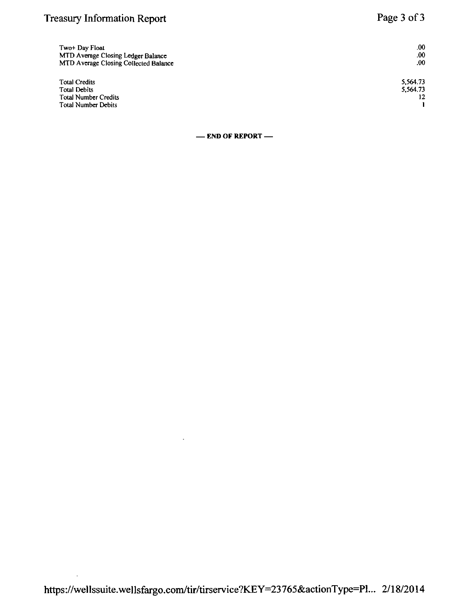# Treasury Information Report **Page 3 of 3**

| Two+ Day Float<br>MTD Average Closing Ledger Balance<br>MTD Average Closing Collected Balance | $.00\,$<br>.00<br>.00. |
|-----------------------------------------------------------------------------------------------|------------------------|
| <b>Total Credits</b>                                                                          | 5,564.73               |
| <b>Total Debits</b>                                                                           | 5.564.73               |
| Total Number Credits                                                                          |                        |
| <b>Total Number Debits</b>                                                                    |                        |

**— END OF REPORT —** 

 $\cdot$